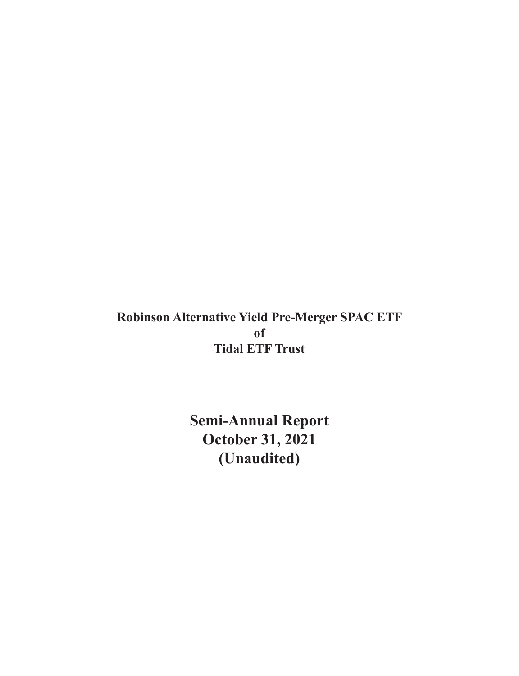**Robinson Alternative Yield Pre-Merger SPAC ETF of Tidal ETF Trust**

> **Semi-Annual Report October 31, 2021 (Unaudited)**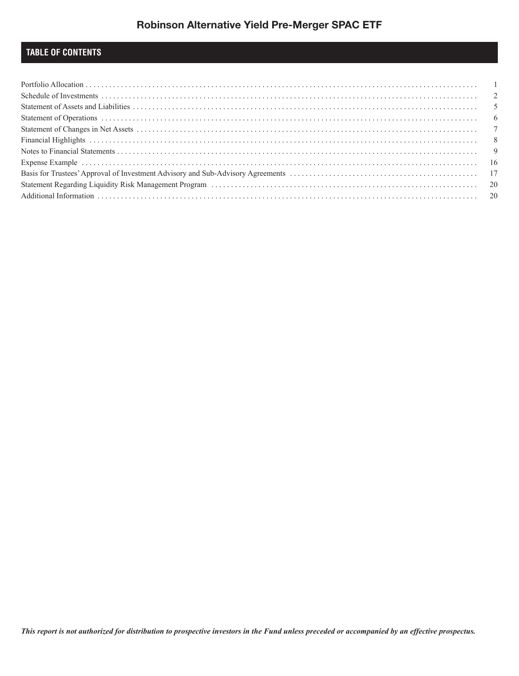## **TABLE OF CONTENTS**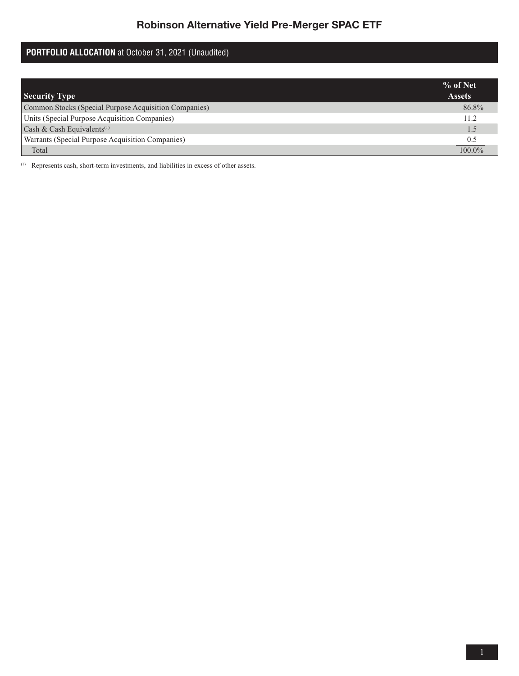# **PORTFOLIO ALLOCATION** at October 31, 2021 (Unaudited)

|                                                       | $%$ of Net    |
|-------------------------------------------------------|---------------|
| <b>Security Type</b>                                  | <b>Assets</b> |
| Common Stocks (Special Purpose Acquisition Companies) | 86.8%         |
| Units (Special Purpose Acquisition Companies)         | 11.2          |
| Cash & Cash Equivalents <sup>(1)</sup>                | $\sim$        |
| Warrants (Special Purpose Acquisition Companies)      | 0.5           |
| Total                                                 | $100.0\%$     |

(1) Represents cash, short-term investments, and liabilities in excess of other assets.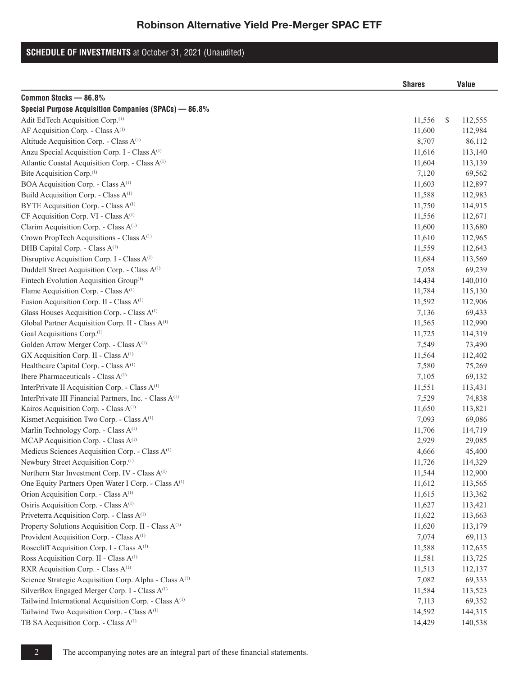## **SCHEDULE OF INVESTMENTS** at October 31, 2021 (Unaudited)

|                                                                    | <b>Shares</b> | Value         |
|--------------------------------------------------------------------|---------------|---------------|
| Common Stocks - 86.8%                                              |               |               |
| Special Purpose Acquisition Companies (SPACs) - 86.8%              |               |               |
| Adit EdTech Acquisition Corp. <sup>(1)</sup>                       | 11,556        | \$<br>112,555 |
| AF Acquisition Corp. - Class A <sup>(1)</sup>                      | 11,600        | 112,984       |
| Altitude Acquisition Corp. - Class A <sup>(1)</sup>                | 8,707         | 86,112        |
| Anzu Special Acquisition Corp. I - Class A <sup>(1)</sup>          | 11,616        | 113,140       |
| Atlantic Coastal Acquisition Corp. - Class A <sup>(1)</sup>        | 11,604        | 113,139       |
| Bite Acquisition Corp. <sup>(1)</sup>                              | 7,120         | 69,562        |
| BOA Acquisition Corp. - Class A <sup>(1)</sup>                     | 11,603        | 112,897       |
| Build Acquisition Corp. - Class A <sup>(1)</sup>                   | 11,588        | 112,983       |
| BYTE Acquisition Corp. - Class A <sup>(1)</sup>                    | 11,750        | 114,915       |
| CF Acquisition Corp. VI - Class A <sup>(1)</sup>                   | 11,556        | 112,671       |
| Clarim Acquisition Corp. - Class A <sup>(1)</sup>                  | 11,600        | 113,680       |
| Crown PropTech Acquisitions - Class A <sup>(1)</sup>               | 11,610        | 112,965       |
| DHB Capital Corp. - Class A <sup>(1)</sup>                         | 11,559        | 112,643       |
| Disruptive Acquisition Corp. I - Class A <sup>(1)</sup>            | 11,684        | 113,569       |
| Duddell Street Acquisition Corp. - Class A <sup>(1)</sup>          | 7,058         | 69,239        |
| Fintech Evolution Acquisition Group <sup>(1)</sup>                 | 14,434        | 140,010       |
| Flame Acquisition Corp. - Class A <sup>(1)</sup>                   | 11,784        | 115,130       |
| Fusion Acquisition Corp. II - Class A <sup>(1)</sup>               | 11,592        | 112,906       |
| Glass Houses Acquisition Corp. - Class A <sup>(1)</sup>            | 7,136         | 69,433        |
| Global Partner Acquisition Corp. II - Class A <sup>(1)</sup>       | 11,565        | 112,990       |
| Goal Acquisitions Corp. <sup>(1)</sup>                             | 11,725        | 114,319       |
| Golden Arrow Merger Corp. - Class A <sup>(1)</sup>                 | 7,549         | 73,490        |
| GX Acquisition Corp. II - Class A <sup>(1)</sup>                   | 11,564        | 112,402       |
| Healthcare Capital Corp. - Class A <sup>(1)</sup>                  | 7,580         | 75,269        |
| Ibere Pharmaceuticals - Class A <sup>(1)</sup>                     | 7,105         | 69,132        |
| InterPrivate II Acquisition Corp. - Class A <sup>(1)</sup>         | 11,551        | 113,431       |
| InterPrivate III Financial Partners, Inc. - Class A <sup>(1)</sup> | 7,529         | 74,838        |
| Kairos Acquisition Corp. - Class A <sup>(1)</sup>                  | 11,650        | 113,821       |
| Kismet Acquisition Two Corp. - Class A <sup>(1)</sup>              | 7,093         | 69,086        |
| Marlin Technology Corp. - Class A <sup>(1)</sup>                   | 11,706        | 114,719       |
| MCAP Acquisition Corp. - Class A <sup>(1)</sup>                    | 2,929         | 29,085        |
| Medicus Sciences Acquisition Corp. - Class A <sup>(1)</sup>        | 4,666         | 45,400        |
| Newbury Street Acquisition Corp. <sup>(1)</sup>                    | 11,726        | 114,329       |
| Northern Star Investment Corp. IV - Class A <sup>(1)</sup>         | 11,544        | 112,900       |
| One Equity Partners Open Water I Corp. - Class A <sup>(1)</sup>    | 11,612        | 113,565       |
| Orion Acquisition Corp. - Class A <sup>(1)</sup>                   | 11,615        | 113,362       |
| Osiris Acquisition Corp. - Class A <sup>(1)</sup>                  | 11,627        | 113,421       |
| Priveterra Acquisition Corp. - Class A <sup>(1)</sup>              | 11,622        | 113,663       |
| Property Solutions Acquisition Corp. II - Class A <sup>(1)</sup>   | 11,620        | 113,179       |
| Provident Acquisition Corp. - Class A <sup>(1)</sup>               | 7,074         | 69,113        |
| Rosecliff Acquisition Corp. I - Class A <sup>(1)</sup>             | 11,588        | 112,635       |
| Ross Acquisition Corp. II - Class A <sup>(1)</sup>                 | 11,581        | 113,725       |
| RXR Acquisition Corp. - Class A <sup>(1)</sup>                     | 11,513        | 112,137       |
| Science Strategic Acquisition Corp. Alpha - Class A <sup>(1)</sup> | 7,082         | 69,333        |
| SilverBox Engaged Merger Corp. I - Class A <sup>(1)</sup>          | 11,584        | 113,523       |
| Tailwind International Acquisition Corp. - Class A <sup>(1)</sup>  | 7,113         | 69,352        |
| Tailwind Two Acquisition Corp. - Class A <sup>(1)</sup>            | 14,592        | 144,315       |
| TB SA Acquisition Corp. - Class A <sup>(1)</sup>                   | 14,429        | 140,538       |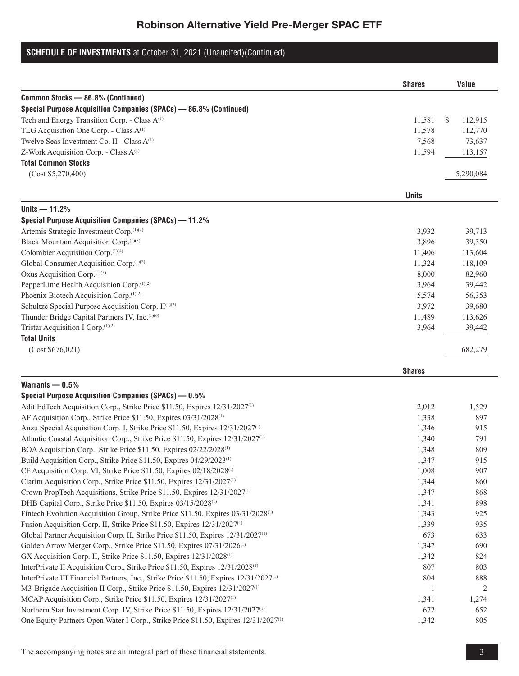## **SCHEDULE OF INVESTMENTS** at October 31, 2021 (Unaudited)(Continued)

|                                                                                              | <b>Shares</b> | Value                    |
|----------------------------------------------------------------------------------------------|---------------|--------------------------|
| Common Stocks - 86.8% (Continued)                                                            |               |                          |
| Special Purpose Acquisition Companies (SPACs) - 86.8% (Continued)                            |               |                          |
| Tech and Energy Transition Corp. - Class A <sup>(1)</sup>                                    | 11,581        | <sup>\$</sup><br>112,915 |
| TLG Acquisition One Corp. - Class A <sup>(1)</sup>                                           | 11,578        | 112,770                  |
| Twelve Seas Investment Co. II - Class A <sup>(1)</sup>                                       | 7,568         | 73,637                   |
| Z-Work Acquisition Corp. - Class A <sup>(1)</sup>                                            | 11,594        | 113,157                  |
| <b>Total Common Stocks</b>                                                                   |               |                          |
| (Cost \$5,270,400)                                                                           |               | 5,290,084                |
|                                                                                              | <b>Units</b>  |                          |
| Units $-11.2%$                                                                               |               |                          |
| Special Purpose Acquisition Companies (SPACs) - 11.2%                                        |               |                          |
| Artemis Strategic Investment Corp.(1)(2)                                                     | 3,932         | 39,713                   |
| Black Mountain Acquisition Corp.(1)(3)                                                       | 3,896         | 39,350                   |
| Colombier Acquisition Corp. <sup>(1)(4)</sup>                                                | 11,406        | 113,604                  |
| Global Consumer Acquisition Corp. <sup>(1)(2)</sup>                                          | 11,324        | 118,109                  |
| Oxus Acquisition Corp.(1)(5)                                                                 | 8,000         | 82,960                   |
| PepperLime Health Acquisition Corp. <sup>(1)(2)</sup>                                        | 3,964         | 39,442                   |
| Phoenix Biotech Acquisition Corp. <sup>(1)(2)</sup>                                          | 5,574         | 56,353                   |
| Schultze Special Purpose Acquisition Corp. II <sup>(1)(2)</sup>                              | 3,972         | 39,680                   |
| Thunder Bridge Capital Partners IV, Inc.(1)(6)                                               | 11,489        | 113,626                  |
| Tristar Acquisition I Corp. <sup>(1)(2)</sup>                                                | 3,964         | 39,442                   |
| <b>Total Units</b>                                                                           |               |                          |
| (Cost \$676,021)                                                                             |               | 682,279                  |
|                                                                                              | <b>Shares</b> |                          |
| Warrants $-0.5%$                                                                             |               |                          |
| Special Purpose Acquisition Companies (SPACs) - 0.5%                                         |               |                          |
| Adit EdTech Acquisition Corp., Strike Price \$11.50, Expires 12/31/2027 <sup>(1)</sup>       | 2,012         | 1,529                    |
| AF Acquisition Corp., Strike Price \$11.50, Expires 03/31/2028 <sup>(1)</sup>                | 1,338         | 897                      |
| Anzu Special Acquisition Corp. I, Strike Price \$11.50, Expires 12/31/2027 <sup>(1)</sup>    | 1,346         | 915                      |
| Atlantic Coastal Acquisition Corp., Strike Price \$11.50, Expires 12/31/2027 <sup>(1)</sup>  | 1,340         | 791                      |
| BOA Acquisition Corp., Strike Price \$11.50, Expires 02/22/2028 <sup>(1)</sup>               | 1,348         | 809                      |
| Build Acquisition Corp., Strike Price \$11.50, Expires 04/29/2023 <sup>(1)</sup>             | 1,347         | 915                      |
| CF Acquisition Corp. VI, Strike Price \$11.50, Expires 02/18/2028 <sup>(1)</sup>             | 1,008         | 907                      |
| Clarim Acquisition Corp., Strike Price \$11.50, Expires 12/31/2027 <sup>(1)</sup>            | 1,344         | 860                      |
| Crown PropTech Acquisitions, Strike Price \$11.50, Expires 12/31/2027 <sup>(1)</sup>         | 1,347         | 868                      |
| DHB Capital Corp., Strike Price \$11.50, Expires 03/15/2028 <sup>(1)</sup>                   | 1,341         | 898                      |
| Fintech Evolution Acquisition Group, Strike Price \$11.50, Expires 03/31/2028 <sup>(1)</sup> | 1,343         | 925                      |
| Fusion Acquisition Corp. II, Strike Price \$11.50, Expires 12/31/2027 <sup>(1)</sup>         | 1,339         | 935                      |

Global Partner Acquisition Corp. II, Strike Price \$11.50, Expires  $12/31/2027^{(1)}$  673 633 Golden Arrow Merger Corp., Strike Price \$11.50, Expires 07/31/2026<sup>(1)</sup> 1,347 690 GX Acquisition Corp. II, Strike Price \$11.50, Expires 12/31/2028<sup>(1)</sup> 1,342 824 InterPrivate II Acquisition Corp., Strike Price \$11.50, Expires 12/31/2028<sup>(1)</sup> 807 803 InterPrivate III Financial Partners, Inc., Strike Price \$11.50, Expires 12/31/2027<sup>(1)</sup> 804 888 M3-Brigade Acquisition II Corp., Strike Price \$11.50, Expires  $12/31/2027^{(1)}$  1 2 MCAP Acquisition Corp., Strike Price \$11.50, Expires  $12/31/2027^{(1)}$  1,341 1,274 Northern Star Investment Corp. IV, Strike Price \$11.50, Expires  $12/31/2027^{(1)}$  672 652 One Equity Partners Open Water I Corp., Strike Price \$11.50, Expires 12/31/2027<sup>(1)</sup> 1,342 805

The accompanying notes are an integral part of these financial statements. 3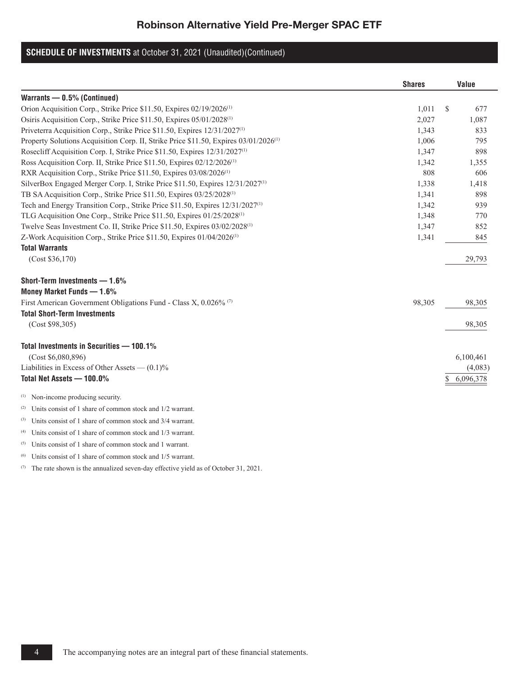# **SCHEDULE OF INVESTMENTS** at October 31, 2021 (Unaudited)(Continued)

|                                                                                                  | <b>Shares</b> |              | Value     |
|--------------------------------------------------------------------------------------------------|---------------|--------------|-----------|
| Warrants - 0.5% (Continued)                                                                      |               |              |           |
| Orion Acquisition Corp., Strike Price \$11.50, Expires 02/19/2026 <sup>(1)</sup>                 | 1,011         | <sup>S</sup> | 677       |
| Osiris Acquisition Corp., Strike Price \$11.50, Expires 05/01/2028 <sup>(1)</sup>                | 2,027         |              | 1,087     |
| Priveterra Acquisition Corp., Strike Price \$11.50, Expires 12/31/2027 <sup>(1)</sup>            | 1,343         |              | 833       |
| Property Solutions Acquisition Corp. II, Strike Price \$11.50, Expires 03/01/2026 <sup>(1)</sup> | 1.006         |              | 795       |
| Rosecliff Acquisition Corp. I, Strike Price \$11.50, Expires 12/31/2027 <sup>(1)</sup>           | 1,347         |              | 898       |
| Ross Acquisition Corp. II, Strike Price \$11.50, Expires 02/12/2026 <sup>(1)</sup>               | 1,342         |              | 1,355     |
| RXR Acquisition Corp., Strike Price \$11.50, Expires 03/08/2026 <sup>(1)</sup>                   | 808           |              | 606       |
| SilverBox Engaged Merger Corp. I, Strike Price \$11.50, Expires 12/31/2027 <sup>(1)</sup>        | 1,338         |              | 1,418     |
| TB SA Acquisition Corp., Strike Price \$11.50, Expires 03/25/2028 <sup>(1)</sup>                 | 1,341         |              | 898       |
| Tech and Energy Transition Corp., Strike Price \$11.50, Expires 12/31/2027 <sup>(1)</sup>        | 1,342         |              | 939       |
| TLG Acquisition One Corp., Strike Price \$11.50, Expires 01/25/2028 <sup>(1)</sup>               | 1,348         |              | 770       |
| Twelve Seas Investment Co. II, Strike Price \$11.50, Expires 03/02/2028 <sup>(1)</sup>           | 1,347         |              | 852       |
| Z-Work Acquisition Corp., Strike Price \$11.50, Expires 01/04/2026 <sup>(1)</sup>                | 1,341         |              | 845       |
| <b>Total Warrants</b>                                                                            |               |              |           |
| (Cost \$36,170)                                                                                  |               |              | 29,793    |
| Short-Term Investments - 1.6%                                                                    |               |              |           |
| Money Market Funds - 1.6%                                                                        |               |              |           |
| First American Government Obligations Fund - Class X, $0.026\%$ <sup>(7)</sup>                   | 98,305        |              | 98,305    |
| <b>Total Short-Term Investments</b>                                                              |               |              |           |
| (Cost \$98,305)                                                                                  |               |              | 98,305    |
| Total Investments in Securities - 100.1%                                                         |               |              |           |
| (Cost \$6,080,896)                                                                               |               |              | 6,100,461 |
| Liabilities in Excess of Other Assets $-$ (0.1)%                                                 |               |              | (4,083)   |
| Total Net Assets - 100.0%                                                                        |               | S            | 6,096,378 |
| <sup>(1)</sup> Non-income producing security.                                                    |               |              |           |
| <sup>(2)</sup> Units consist of 1 share of common stock and 1/2 warrant.                         |               |              |           |
| (3) Units consist of 1 share of common stock and 3/4 warrant.                                    |               |              |           |

(4) Units consist of 1 share of common stock and  $1/3$  warrant.

(5) Units consist of 1 share of common stock and 1 warrant.

(6) Units consist of 1 share of common stock and 1/5 warrant.

(7) The rate shown is the annualized seven-day effective yield as of October 31, 2021.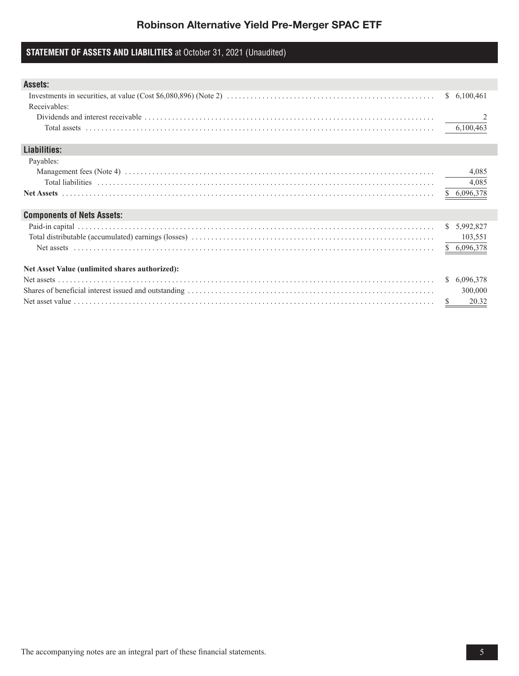## **STATEMENT OF ASSETS AND LIABILITIES** at October 31, 2021 (Unaudited)

| Assets:                                        |                           |
|------------------------------------------------|---------------------------|
|                                                | 6,100,461<br><sup>S</sup> |
| Receivables:                                   |                           |
|                                                |                           |
|                                                | 6,100,463                 |
|                                                |                           |
| Liabilities:                                   |                           |
| Payables:                                      |                           |
|                                                | 4,085                     |
|                                                | 4,085                     |
|                                                | \$6,096,378               |
|                                                |                           |
| <b>Components of Nets Assets:</b>              |                           |
|                                                | \$ 5,992,827              |
|                                                | 103,551                   |
|                                                | \$ 6,096,378              |
|                                                |                           |
| Net Asset Value (unlimited shares authorized): |                           |
|                                                | 6,096,378<br><sup>S</sup> |
|                                                | 300,000                   |
|                                                | 20.32<br>S.               |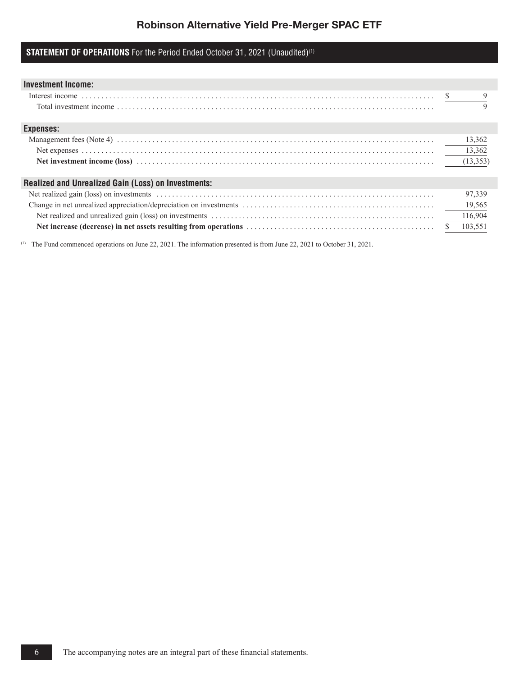## **STATEMENT OF OPERATIONS** For the Period Ended October 31, 2021 (Unaudited)<sup>(1)</sup>

| <b>Investment Income:</b>                                  |           |
|------------------------------------------------------------|-----------|
| Interest income<br>Total investment income<br>$\ldots$     |           |
|                                                            |           |
|                                                            |           |
| Expenses:                                                  |           |
|                                                            | 13,362    |
|                                                            | 13,362    |
|                                                            | (13, 353) |
|                                                            |           |
| <b>Realized and Unrealized Gain (Loss) on Investments:</b> |           |
|                                                            | 97,339    |
|                                                            | 19,565    |
|                                                            | 116,904   |
|                                                            | 103,551   |
|                                                            |           |

(1) The Fund commenced operations on June 22, 2021. The information presented is from June 22, 2021 to October 31, 2021.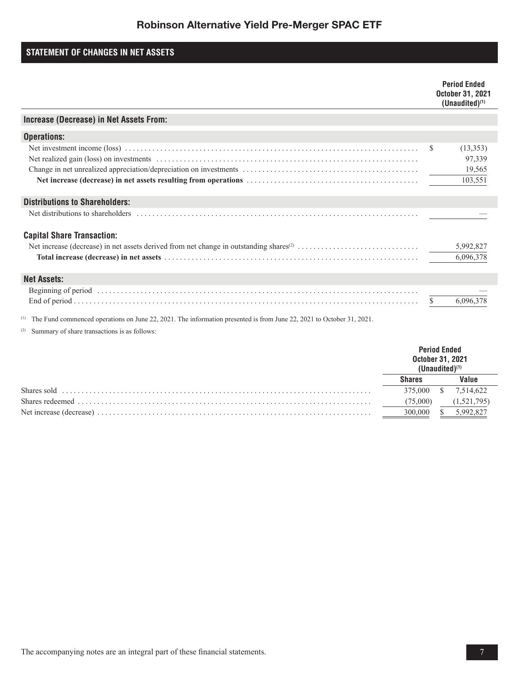## **STATEMENT OF CHANGES IN NET ASSETS**

|                                                                                                               |               | <b>Period Ended</b><br><b>October 31, 2021</b><br>$(Unaudited)^{(1)}$ |
|---------------------------------------------------------------------------------------------------------------|---------------|-----------------------------------------------------------------------|
| Increase (Decrease) in Net Assets From:                                                                       |               |                                                                       |
| <b>Operations:</b>                                                                                            |               |                                                                       |
|                                                                                                               | <sup>\$</sup> | (13,353)<br>97,339<br>19,565<br>103,551                               |
| <b>Distributions to Shareholders:</b>                                                                         |               |                                                                       |
|                                                                                                               |               |                                                                       |
| <b>Capital Share Transaction:</b>                                                                             |               | 5,992,827<br>6,096,378                                                |
| <b>Net Assets:</b>                                                                                            |               |                                                                       |
| a se de la construída de la calendaria de la construída de la calendaria de la calendaria de la calendaria de | S.            | 6,096,378                                                             |

(1) The Fund commenced operations on June 22, 2021. The information presented is from June 22, 2021 to October 31, 2021.

(2) Summary of share transactions is as follows:

|             | <b>Period Ended</b><br>October 31, 2021 |  |             |
|-------------|-----------------------------------------|--|-------------|
|             | Shares                                  |  | 'alue       |
| Shares sold | 375.000                                 |  | 7,514,622   |
|             | (75,000)                                |  | (1,521,795) |
|             |                                         |  | 5.992.827   |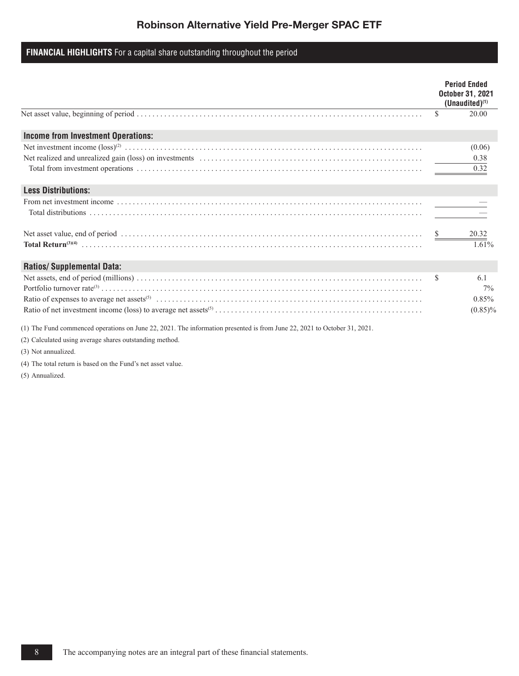## **FINANCIAL HIGHLIGHTS** For a capital share outstanding throughout the period

|                                           |     | <b>Period Ended</b><br><b>October 31, 2021</b><br>$(Unaudited)^{(1)}$ |
|-------------------------------------------|-----|-----------------------------------------------------------------------|
|                                           | \$  | 20.00                                                                 |
| <b>Income from Investment Operations:</b> |     |                                                                       |
|                                           |     | (0.06)                                                                |
|                                           |     | 0.38                                                                  |
|                                           |     | 0.32                                                                  |
| <b>Less Distributions:</b>                |     |                                                                       |
|                                           |     |                                                                       |
|                                           |     |                                                                       |
|                                           |     | 20.32                                                                 |
|                                           |     | 1.61%                                                                 |
| <b>Ratios/Supplemental Data:</b>          |     |                                                                       |
|                                           | \$. | 6.1                                                                   |
|                                           |     | $7\%$                                                                 |
|                                           |     | 0.85%                                                                 |
|                                           |     | $(0.85)\%$                                                            |

(1) The Fund commenced operations on June 22, 2021. The information presented is from June 22, 2021 to October 31, 2021.

(2) Calculated using average shares outstanding method.

(3) Not annualized.

(4) The total return is based on the Fund's net asset value.

(5) Annualized.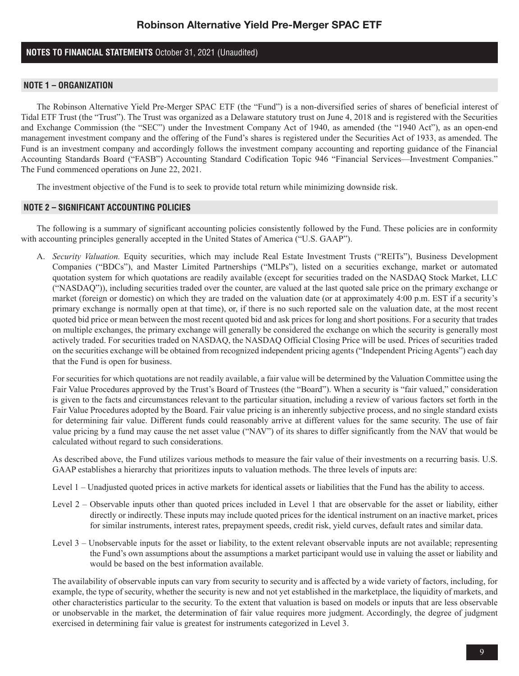## **NOTES TO FINANCIAL STATEMENTS** October 31, 2021 (Unaudited)

### **NOTE 1 – ORGANIZATION**

The Robinson Alternative Yield Pre-Merger SPAC ETF (the "Fund") is a non-diversified series of shares of beneficial interest of Tidal ETF Trust (the "Trust"). The Trust was organized as a Delaware statutory trust on June 4, 2018 and is registered with the Securities and Exchange Commission (the "SEC") under the Investment Company Act of 1940, as amended (the "1940 Act"), as an open-end management investment company and the offering of the Fund's shares is registered under the Securities Act of 1933, as amended. The Fund is an investment company and accordingly follows the investment company accounting and reporting guidance of the Financial Accounting Standards Board ("FASB") Accounting Standard Codification Topic 946 "Financial Services—Investment Companies." The Fund commenced operations on June 22, 2021.

The investment objective of the Fund is to seek to provide total return while minimizing downside risk.

### **NOTE 2 – SIGNIFICANT ACCOUNTING POLICIES**

The following is a summary of significant accounting policies consistently followed by the Fund. These policies are in conformity with accounting principles generally accepted in the United States of America ("U.S. GAAP").

A. *Security Valuation.* Equity securities, which may include Real Estate Investment Trusts ("REITs"), Business Development Companies ("BDCs"), and Master Limited Partnerships ("MLPs"), listed on a securities exchange, market or automated quotation system for which quotations are readily available (except for securities traded on the NASDAQ Stock Market, LLC ("NASDAQ")), including securities traded over the counter, are valued at the last quoted sale price on the primary exchange or market (foreign or domestic) on which they are traded on the valuation date (or at approximately 4:00 p.m. EST if a security's primary exchange is normally open at that time), or, if there is no such reported sale on the valuation date, at the most recent quoted bid price or mean between the most recent quoted bid and ask prices for long and short positions. For a security that trades on multiple exchanges, the primary exchange will generally be considered the exchange on which the security is generally most actively traded. For securities traded on NASDAQ, the NASDAQ Official Closing Price will be used. Prices of securities traded on the securities exchange will be obtained from recognized independent pricing agents ("Independent Pricing Agents") each day that the Fund is open for business.

For securities for which quotations are not readily available, a fair value will be determined by the Valuation Committee using the Fair Value Procedures approved by the Trust's Board of Trustees (the "Board"). When a security is "fair valued," consideration is given to the facts and circumstances relevant to the particular situation, including a review of various factors set forth in the Fair Value Procedures adopted by the Board. Fair value pricing is an inherently subjective process, and no single standard exists for determining fair value. Different funds could reasonably arrive at different values for the same security. The use of fair value pricing by a fund may cause the net asset value ("NAV") of its shares to differ significantly from the NAV that would be calculated without regard to such considerations.

As described above, the Fund utilizes various methods to measure the fair value of their investments on a recurring basis. U.S. GAAP establishes a hierarchy that prioritizes inputs to valuation methods. The three levels of inputs are:

Level 1 – Unadjusted quoted prices in active markets for identical assets or liabilities that the Fund has the ability to access.

- Level 2 Observable inputs other than quoted prices included in Level 1 that are observable for the asset or liability, either directly or indirectly. These inputs may include quoted prices for the identical instrument on an inactive market, prices for similar instruments, interest rates, prepayment speeds, credit risk, yield curves, default rates and similar data.
- Level 3 Unobservable inputs for the asset or liability, to the extent relevant observable inputs are not available; representing the Fund's own assumptions about the assumptions a market participant would use in valuing the asset or liability and would be based on the best information available.

The availability of observable inputs can vary from security to security and is affected by a wide variety of factors, including, for example, the type of security, whether the security is new and not yet established in the marketplace, the liquidity of markets, and other characteristics particular to the security. To the extent that valuation is based on models or inputs that are less observable or unobservable in the market, the determination of fair value requires more judgment. Accordingly, the degree of judgment exercised in determining fair value is greatest for instruments categorized in Level 3.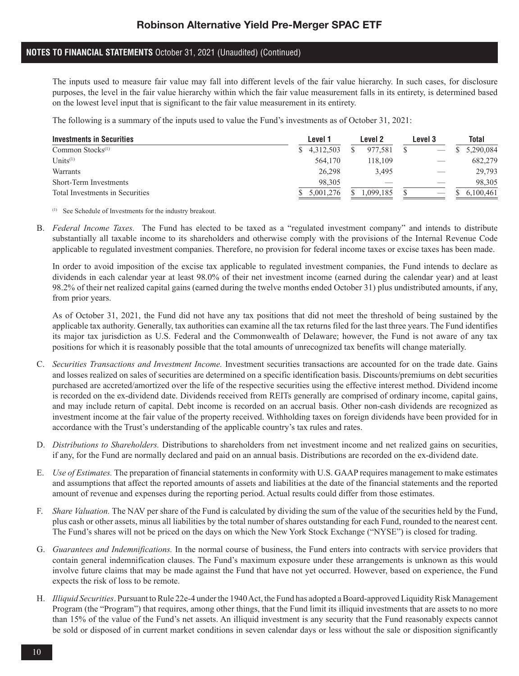## **NOTES TO FINANCIAL STATEMENTS** October 31, 2021 (Unaudited) (Continued)

The inputs used to measure fair value may fall into different levels of the fair value hierarchy. In such cases, for disclosure purposes, the level in the fair value hierarchy within which the fair value measurement falls in its entirety, is determined based on the lowest level input that is significant to the fair value measurement in its entirety.

The following is a summary of the inputs used to value the Fund's investments as of October 31, 2021:

| <b>Investments in Securities</b> | Level 1     | Level 2  | Level 3 | <b>Total</b> |
|----------------------------------|-------------|----------|---------|--------------|
| Common Stocks $(1)$              | \$4,312,503 | 977.581  |         | \$5,290,084  |
| Units $(1)$                      | 564,170     | 118.109  |         | 682,279      |
| Warrants                         | 26.298      | 3.495    |         | 29,793       |
| <b>Short-Term Investments</b>    | 98.305      |          |         | 98,305       |
| Total Investments in Securities  | 5.001.276   | .099.185 |         | 6,100,461    |

(1) See Schedule of Investments for the industry breakout.

B. *Federal Income Taxes.* The Fund has elected to be taxed as a "regulated investment company" and intends to distribute substantially all taxable income to its shareholders and otherwise comply with the provisions of the Internal Revenue Code applicable to regulated investment companies. Therefore, no provision for federal income taxes or excise taxes has been made.

In order to avoid imposition of the excise tax applicable to regulated investment companies, the Fund intends to declare as dividends in each calendar year at least 98.0% of their net investment income (earned during the calendar year) and at least 98.2% of their net realized capital gains (earned during the twelve months ended October 31) plus undistributed amounts, if any, from prior years.

As of October 31, 2021, the Fund did not have any tax positions that did not meet the threshold of being sustained by the applicable tax authority. Generally, tax authorities can examine all the tax returns filed for the last three years. The Fund identifies its major tax jurisdiction as U.S. Federal and the Commonwealth of Delaware; however, the Fund is not aware of any tax positions for which it is reasonably possible that the total amounts of unrecognized tax benefits will change materially.

- C. *Securities Transactions and Investment Income.* Investment securities transactions are accounted for on the trade date. Gains and losses realized on sales of securities are determined on a specific identification basis. Discounts/premiums on debt securities purchased are accreted/amortized over the life of the respective securities using the effective interest method. Dividend income is recorded on the ex-dividend date. Dividends received from REITs generally are comprised of ordinary income, capital gains, and may include return of capital. Debt income is recorded on an accrual basis. Other non-cash dividends are recognized as investment income at the fair value of the property received. Withholding taxes on foreign dividends have been provided for in accordance with the Trust's understanding of the applicable country's tax rules and rates.
- D. *Distributions to Shareholders.* Distributions to shareholders from net investment income and net realized gains on securities, if any, for the Fund are normally declared and paid on an annual basis. Distributions are recorded on the ex-dividend date.
- E. *Use of Estimates.* The preparation of financial statements in conformity with U.S. GAAP requires management to make estimates and assumptions that affect the reported amounts of assets and liabilities at the date of the financial statements and the reported amount of revenue and expenses during the reporting period. Actual results could differ from those estimates.
- F. *Share Valuation.* The NAV per share of the Fund is calculated by dividing the sum of the value of the securities held by the Fund, plus cash or other assets, minus all liabilities by the total number of shares outstanding for each Fund, rounded to the nearest cent. The Fund's shares will not be priced on the days on which the New York Stock Exchange ("NYSE") is closed for trading.
- G. *Guarantees and Indemnifications.* In the normal course of business, the Fund enters into contracts with service providers that contain general indemnification clauses. The Fund's maximum exposure under these arrangements is unknown as this would involve future claims that may be made against the Fund that have not yet occurred. However, based on experience, the Fund expects the risk of loss to be remote.
- H. *Illiquid Securities*. Pursuant to Rule 22e-4 under the 1940 Act, the Fund has adopted a Board-approved Liquidity Risk Management Program (the "Program") that requires, among other things, that the Fund limit its illiquid investments that are assets to no more than 15% of the value of the Fund's net assets. An illiquid investment is any security that the Fund reasonably expects cannot be sold or disposed of in current market conditions in seven calendar days or less without the sale or disposition significantly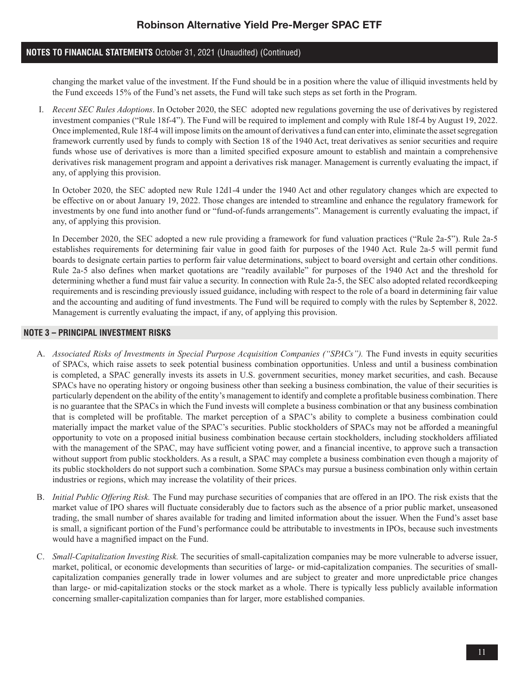## **NOTES TO FINANCIAL STATEMENTS** October 31, 2021 (Unaudited) (Continued)

changing the market value of the investment. If the Fund should be in a position where the value of illiquid investments held by the Fund exceeds 15% of the Fund's net assets, the Fund will take such steps as set forth in the Program.

 I. *Recent SEC Rules Adoptions*. In October 2020, the SEC adopted new regulations governing the use of derivatives by registered investment companies ("Rule 18f-4"). The Fund will be required to implement and comply with Rule 18f-4 by August 19, 2022. Once implemented, Rule 18f-4 will impose limits on the amount of derivatives a fund can enter into, eliminate the asset segregation framework currently used by funds to comply with Section 18 of the 1940 Act, treat derivatives as senior securities and require funds whose use of derivatives is more than a limited specified exposure amount to establish and maintain a comprehensive derivatives risk management program and appoint a derivatives risk manager. Management is currently evaluating the impact, if any, of applying this provision.

In October 2020, the SEC adopted new Rule 12d1-4 under the 1940 Act and other regulatory changes which are expected to be effective on or about January 19, 2022. Those changes are intended to streamline and enhance the regulatory framework for investments by one fund into another fund or "fund-of-funds arrangements". Management is currently evaluating the impact, if any, of applying this provision.

In December 2020, the SEC adopted a new rule providing a framework for fund valuation practices ("Rule 2a-5"). Rule 2a-5 establishes requirements for determining fair value in good faith for purposes of the 1940 Act. Rule 2a-5 will permit fund boards to designate certain parties to perform fair value determinations, subject to board oversight and certain other conditions. Rule 2a-5 also defines when market quotations are "readily available" for purposes of the 1940 Act and the threshold for determining whether a fund must fair value a security. In connection with Rule 2a-5, the SEC also adopted related recordkeeping requirements and is rescinding previously issued guidance, including with respect to the role of a board in determining fair value and the accounting and auditing of fund investments. The Fund will be required to comply with the rules by September 8, 2022. Management is currently evaluating the impact, if any, of applying this provision.

### **NOTE 3 – PRINCIPAL INVESTMENT RISKS**

- A. *Associated Risks of Investments in Special Purpose Acquisition Companies ("SPACs").* The Fund invests in equity securities of SPACs, which raise assets to seek potential business combination opportunities. Unless and until a business combination is completed, a SPAC generally invests its assets in U.S. government securities, money market securities, and cash. Because SPACs have no operating history or ongoing business other than seeking a business combination, the value of their securities is particularly dependent on the ability of the entity's management to identify and complete a profitable business combination. There is no guarantee that the SPACs in which the Fund invests will complete a business combination or that any business combination that is completed will be profitable. The market perception of a SPAC's ability to complete a business combination could materially impact the market value of the SPAC's securities. Public stockholders of SPACs may not be afforded a meaningful opportunity to vote on a proposed initial business combination because certain stockholders, including stockholders affiliated with the management of the SPAC, may have sufficient voting power, and a financial incentive, to approve such a transaction without support from public stockholders. As a result, a SPAC may complete a business combination even though a majority of its public stockholders do not support such a combination. Some SPACs may pursue a business combination only within certain industries or regions, which may increase the volatility of their prices.
- B. *Initial Public Offering Risk.* The Fund may purchase securities of companies that are offered in an IPO. The risk exists that the market value of IPO shares will fluctuate considerably due to factors such as the absence of a prior public market, unseasoned trading, the small number of shares available for trading and limited information about the issuer. When the Fund's asset base is small, a significant portion of the Fund's performance could be attributable to investments in IPOs, because such investments would have a magnified impact on the Fund.
- C. *Small-Capitalization Investing Risk.* The securities of small-capitalization companies may be more vulnerable to adverse issuer, market, political, or economic developments than securities of large- or mid-capitalization companies. The securities of smallcapitalization companies generally trade in lower volumes and are subject to greater and more unpredictable price changes than large- or mid-capitalization stocks or the stock market as a whole. There is typically less publicly available information concerning smaller-capitalization companies than for larger, more established companies.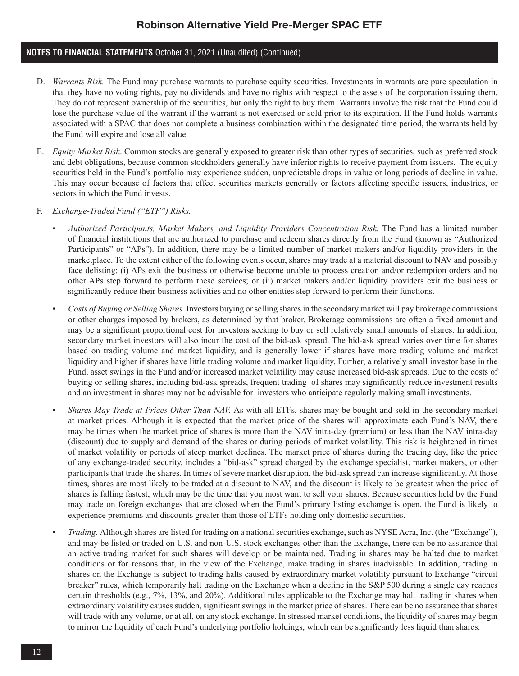## **NOTES TO FINANCIAL STATEMENTS** October 31, 2021 (Unaudited) (Continued)

- D. *Warrants Risk.* The Fund may purchase warrants to purchase equity securities. Investments in warrants are pure speculation in that they have no voting rights, pay no dividends and have no rights with respect to the assets of the corporation issuing them. They do not represent ownership of the securities, but only the right to buy them. Warrants involve the risk that the Fund could lose the purchase value of the warrant if the warrant is not exercised or sold prior to its expiration. If the Fund holds warrants associated with a SPAC that does not complete a business combination within the designated time period, the warrants held by the Fund will expire and lose all value.
- E. *Equity Market Risk*. Common stocks are generally exposed to greater risk than other types of securities, such as preferred stock and debt obligations, because common stockholders generally have inferior rights to receive payment from issuers. The equity securities held in the Fund's portfolio may experience sudden, unpredictable drops in value or long periods of decline in value. This may occur because of factors that effect securities markets generally or factors affecting specific issuers, industries, or sectors in which the Fund invests.
- F. *Exchange-Traded Fund ("ETF") Risks.*
	- *Authorized Participants, Market Makers, and Liquidity Providers Concentration Risk.* The Fund has a limited number of financial institutions that are authorized to purchase and redeem shares directly from the Fund (known as "Authorized Participants" or "APs"). In addition, there may be a limited number of market makers and/or liquidity providers in the marketplace. To the extent either of the following events occur, shares may trade at a material discount to NAV and possibly face delisting: (i) APs exit the business or otherwise become unable to process creation and/or redemption orders and no other APs step forward to perform these services; or (ii) market makers and/or liquidity providers exit the business or significantly reduce their business activities and no other entities step forward to perform their functions.
	- *Costs of Buying or Selling Shares.* Investors buying or selling shares in the secondary market will pay brokerage commissions or other charges imposed by brokers, as determined by that broker. Brokerage commissions are often a fixed amount and may be a significant proportional cost for investors seeking to buy or sell relatively small amounts of shares. In addition, secondary market investors will also incur the cost of the bid-ask spread. The bid-ask spread varies over time for shares based on trading volume and market liquidity, and is generally lower if shares have more trading volume and market liquidity and higher if shares have little trading volume and market liquidity. Further, a relatively small investor base in the Fund, asset swings in the Fund and/or increased market volatility may cause increased bid-ask spreads. Due to the costs of buying or selling shares, including bid-ask spreads, frequent trading of shares may significantly reduce investment results and an investment in shares may not be advisable for investors who anticipate regularly making small investments.
	- *Shares May Trade at Prices Other Than NAV.* As with all ETFs, shares may be bought and sold in the secondary market at market prices. Although it is expected that the market price of the shares will approximate each Fund's NAV, there may be times when the market price of shares is more than the NAV intra-day (premium) or less than the NAV intra-day (discount) due to supply and demand of the shares or during periods of market volatility. This risk is heightened in times of market volatility or periods of steep market declines. The market price of shares during the trading day, like the price of any exchange-traded security, includes a "bid-ask" spread charged by the exchange specialist, market makers, or other participants that trade the shares. In times of severe market disruption, the bid-ask spread can increase significantly. At those times, shares are most likely to be traded at a discount to NAV, and the discount is likely to be greatest when the price of shares is falling fastest, which may be the time that you most want to sell your shares. Because securities held by the Fund may trade on foreign exchanges that are closed when the Fund's primary listing exchange is open, the Fund is likely to experience premiums and discounts greater than those of ETFs holding only domestic securities.
	- *Trading.* Although shares are listed for trading on a national securities exchange, such as NYSE Acra, Inc. (the "Exchange"), and may be listed or traded on U.S. and non-U.S. stock exchanges other than the Exchange, there can be no assurance that an active trading market for such shares will develop or be maintained. Trading in shares may be halted due to market conditions or for reasons that, in the view of the Exchange, make trading in shares inadvisable. In addition, trading in shares on the Exchange is subject to trading halts caused by extraordinary market volatility pursuant to Exchange "circuit breaker" rules, which temporarily halt trading on the Exchange when a decline in the S&P 500 during a single day reaches certain thresholds (e.g., 7%, 13%, and 20%). Additional rules applicable to the Exchange may halt trading in shares when extraordinary volatility causes sudden, significant swings in the market price of shares. There can be no assurance that shares will trade with any volume, or at all, on any stock exchange. In stressed market conditions, the liquidity of shares may begin to mirror the liquidity of each Fund's underlying portfolio holdings, which can be significantly less liquid than shares.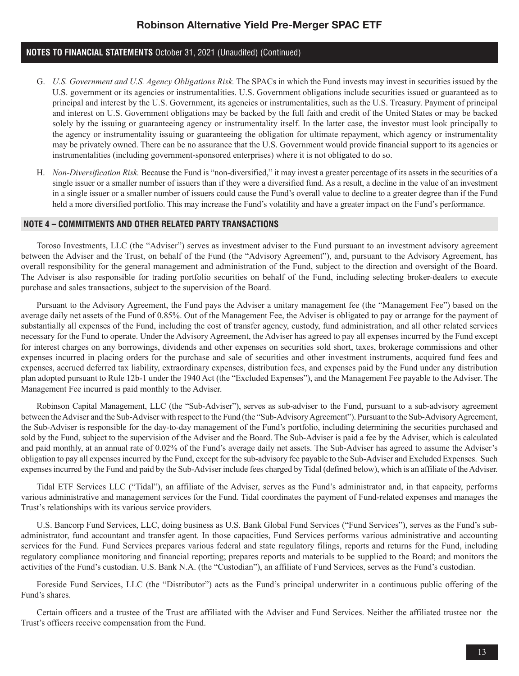## **NOTES TO FINANCIAL STATEMENTS** October 31, 2021 (Unaudited) (Continued)

- G. *U.S. Government and U.S. Agency Obligations Risk.* The SPACs in which the Fund invests may invest in securities issued by the U.S. government or its agencies or instrumentalities. U.S. Government obligations include securities issued or guaranteed as to principal and interest by the U.S. Government, its agencies or instrumentalities, such as the U.S. Treasury. Payment of principal and interest on U.S. Government obligations may be backed by the full faith and credit of the United States or may be backed solely by the issuing or guaranteeing agency or instrumentality itself. In the latter case, the investor must look principally to the agency or instrumentality issuing or guaranteeing the obligation for ultimate repayment, which agency or instrumentality may be privately owned. There can be no assurance that the U.S. Government would provide financial support to its agencies or instrumentalities (including government-sponsored enterprises) where it is not obligated to do so.
- H. *Non-Diversification Risk.* Because the Fund is "non-diversified," it may invest a greater percentage of its assets in the securities of a single issuer or a smaller number of issuers than if they were a diversified fund. As a result, a decline in the value of an investment in a single issuer or a smaller number of issuers could cause the Fund's overall value to decline to a greater degree than if the Fund held a more diversified portfolio. This may increase the Fund's volatility and have a greater impact on the Fund's performance.

### **NOTE 4 – COMMITMENTS AND OTHER RELATED PARTY TRANSACTIONS**

Toroso Investments, LLC (the "Adviser") serves as investment adviser to the Fund pursuant to an investment advisory agreement between the Adviser and the Trust, on behalf of the Fund (the "Advisory Agreement"), and, pursuant to the Advisory Agreement, has overall responsibility for the general management and administration of the Fund, subject to the direction and oversight of the Board. The Adviser is also responsible for trading portfolio securities on behalf of the Fund, including selecting broker-dealers to execute purchase and sales transactions, subject to the supervision of the Board.

Pursuant to the Advisory Agreement, the Fund pays the Adviser a unitary management fee (the "Management Fee") based on the average daily net assets of the Fund of 0.85%. Out of the Management Fee, the Adviser is obligated to pay or arrange for the payment of substantially all expenses of the Fund, including the cost of transfer agency, custody, fund administration, and all other related services necessary for the Fund to operate. Under the Advisory Agreement, the Adviser has agreed to pay all expenses incurred by the Fund except for interest charges on any borrowings, dividends and other expenses on securities sold short, taxes, brokerage commissions and other expenses incurred in placing orders for the purchase and sale of securities and other investment instruments, acquired fund fees and expenses, accrued deferred tax liability, extraordinary expenses, distribution fees, and expenses paid by the Fund under any distribution plan adopted pursuant to Rule 12b-1 under the 1940 Act (the "Excluded Expenses"), and the Management Fee payable to the Adviser. The Management Fee incurred is paid monthly to the Adviser.

Robinson Capital Management, LLC (the "Sub-Adviser"), serves as sub-adviser to the Fund, pursuant to a sub-advisory agreement between the Adviser and the Sub-Adviser with respect to the Fund (the "Sub-Advisory Agreement"). Pursuant to the Sub-Advisory Agreement, the Sub-Adviser is responsible for the day-to-day management of the Fund's portfolio, including determining the securities purchased and sold by the Fund, subject to the supervision of the Adviser and the Board. The Sub-Adviser is paid a fee by the Adviser, which is calculated and paid monthly, at an annual rate of 0.02% of the Fund's average daily net assets. The Sub-Adviser has agreed to assume the Adviser's obligation to pay all expenses incurred by the Fund, except for the sub-advisory fee payable to the Sub-Adviser and Excluded Expenses. Such expenses incurred by the Fund and paid by the Sub-Adviser include fees charged by Tidal (defined below), which is an affiliate of the Adviser.

Tidal ETF Services LLC ("Tidal"), an affiliate of the Adviser, serves as the Fund's administrator and, in that capacity, performs various administrative and management services for the Fund. Tidal coordinates the payment of Fund-related expenses and manages the Trust's relationships with its various service providers.

U.S. Bancorp Fund Services, LLC, doing business as U.S. Bank Global Fund Services ("Fund Services"), serves as the Fund's subadministrator, fund accountant and transfer agent. In those capacities, Fund Services performs various administrative and accounting services for the Fund. Fund Services prepares various federal and state regulatory filings, reports and returns for the Fund, including regulatory compliance monitoring and financial reporting; prepares reports and materials to be supplied to the Board; and monitors the activities of the Fund's custodian. U.S. Bank N.A. (the "Custodian"), an affiliate of Fund Services, serves as the Fund's custodian.

Foreside Fund Services, LLC (the "Distributor") acts as the Fund's principal underwriter in a continuous public offering of the Fund's shares.

Certain officers and a trustee of the Trust are affiliated with the Adviser and Fund Services. Neither the affiliated trustee nor the Trust's officers receive compensation from the Fund.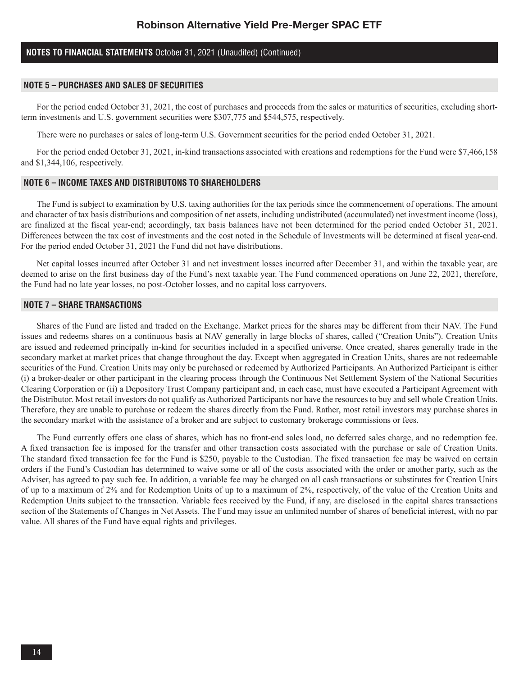## **NOTES TO FINANCIAL STATEMENTS** October 31, 2021 (Unaudited) (Continued)

#### **NOTE 5 – PURCHASES AND SALES OF SECURITIES**

For the period ended October 31, 2021, the cost of purchases and proceeds from the sales or maturities of securities, excluding shortterm investments and U.S. government securities were \$307,775 and \$544,575, respectively.

There were no purchases or sales of long-term U.S. Government securities for the period ended October 31, 2021.

For the period ended October 31, 2021, in-kind transactions associated with creations and redemptions for the Fund were \$7,466,158 and \$1,344,106, respectively.

#### **NOTE 6 – INCOME TAXES AND DISTRIBUTONS TO SHAREHOLDERS**

The Fund is subject to examination by U.S. taxing authorities for the tax periods since the commencement of operations. The amount and character of tax basis distributions and composition of net assets, including undistributed (accumulated) net investment income (loss), are finalized at the fiscal year-end; accordingly, tax basis balances have not been determined for the period ended October 31, 2021. Differences between the tax cost of investments and the cost noted in the Schedule of Investments will be determined at fiscal year-end. For the period ended October 31, 2021 the Fund did not have distributions.

Net capital losses incurred after October 31 and net investment losses incurred after December 31, and within the taxable year, are deemed to arise on the first business day of the Fund's next taxable year. The Fund commenced operations on June 22, 2021, therefore, the Fund had no late year losses, no post-October losses, and no capital loss carryovers.

#### **NOTE 7 – SHARE TRANSACTIONS**

Shares of the Fund are listed and traded on the Exchange. Market prices for the shares may be different from their NAV. The Fund issues and redeems shares on a continuous basis at NAV generally in large blocks of shares, called ("Creation Units"). Creation Units are issued and redeemed principally in-kind for securities included in a specified universe. Once created, shares generally trade in the secondary market at market prices that change throughout the day. Except when aggregated in Creation Units, shares are not redeemable securities of the Fund. Creation Units may only be purchased or redeemed by Authorized Participants. An Authorized Participant is either (i) a broker-dealer or other participant in the clearing process through the Continuous Net Settlement System of the National Securities Clearing Corporation or (ii) a Depository Trust Company participant and, in each case, must have executed a Participant Agreement with the Distributor. Most retail investors do not qualify as Authorized Participants nor have the resources to buy and sell whole Creation Units. Therefore, they are unable to purchase or redeem the shares directly from the Fund. Rather, most retail investors may purchase shares in the secondary market with the assistance of a broker and are subject to customary brokerage commissions or fees.

The Fund currently offers one class of shares, which has no front-end sales load, no deferred sales charge, and no redemption fee. A fixed transaction fee is imposed for the transfer and other transaction costs associated with the purchase or sale of Creation Units. The standard fixed transaction fee for the Fund is \$250, payable to the Custodian. The fixed transaction fee may be waived on certain orders if the Fund's Custodian has determined to waive some or all of the costs associated with the order or another party, such as the Adviser, has agreed to pay such fee. In addition, a variable fee may be charged on all cash transactions or substitutes for Creation Units of up to a maximum of 2% and for Redemption Units of up to a maximum of 2%, respectively, of the value of the Creation Units and Redemption Units subject to the transaction. Variable fees received by the Fund, if any, are disclosed in the capital shares transactions section of the Statements of Changes in Net Assets. The Fund may issue an unlimited number of shares of beneficial interest, with no par value. All shares of the Fund have equal rights and privileges.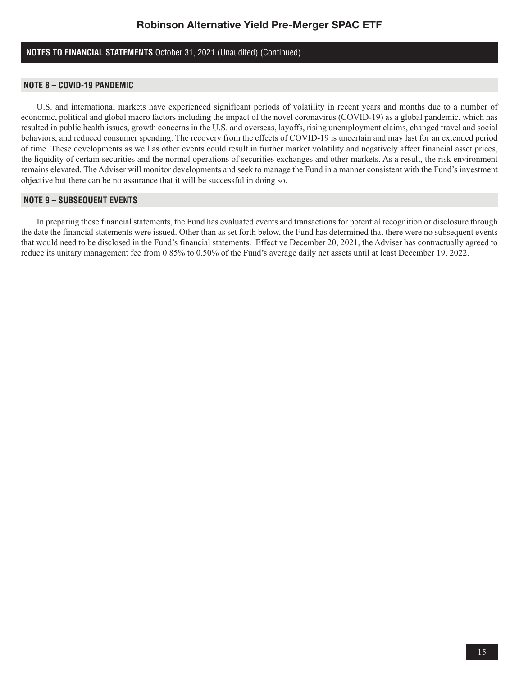## **NOTES TO FINANCIAL STATEMENTS** October 31, 2021 (Unaudited) (Continued)

## **NOTE 8 – COVID-19 PANDEMIC**

U.S. and international markets have experienced significant periods of volatility in recent years and months due to a number of economic, political and global macro factors including the impact of the novel coronavirus (COVID-19) as a global pandemic, which has resulted in public health issues, growth concerns in the U.S. and overseas, layoffs, rising unemployment claims, changed travel and social behaviors, and reduced consumer spending. The recovery from the effects of COVID-19 is uncertain and may last for an extended period of time. These developments as well as other events could result in further market volatility and negatively affect financial asset prices, the liquidity of certain securities and the normal operations of securities exchanges and other markets. As a result, the risk environment remains elevated. The Adviser will monitor developments and seek to manage the Fund in a manner consistent with the Fund's investment objective but there can be no assurance that it will be successful in doing so.

### **NOTE 9 – SUBSEQUENT EVENTS**

In preparing these financial statements, the Fund has evaluated events and transactions for potential recognition or disclosure through the date the financial statements were issued. Other than as set forth below, the Fund has determined that there were no subsequent events that would need to be disclosed in the Fund's financial statements. Effective December 20, 2021, the Adviser has contractually agreed to reduce its unitary management fee from 0.85% to 0.50% of the Fund's average daily net assets until at least December 19, 2022.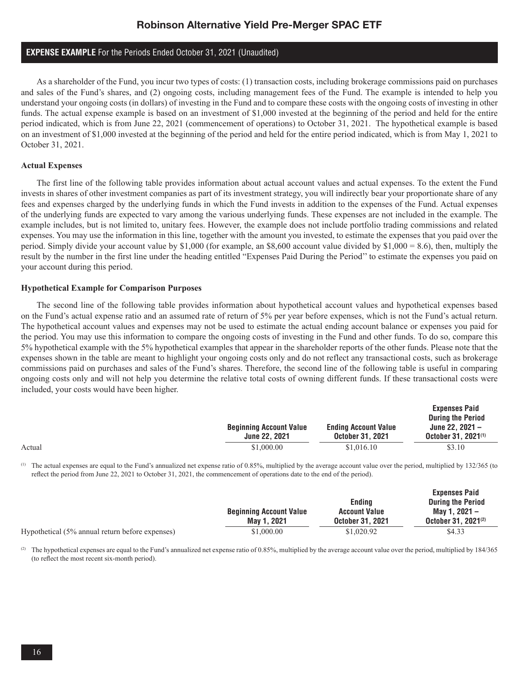### **EXPENSE EXAMPLE** For the Periods Ended October 31, 2021 (Unaudited)

As a shareholder of the Fund, you incur two types of costs: (1) transaction costs, including brokerage commissions paid on purchases and sales of the Fund's shares, and (2) ongoing costs, including management fees of the Fund. The example is intended to help you understand your ongoing costs (in dollars) of investing in the Fund and to compare these costs with the ongoing costs of investing in other funds. The actual expense example is based on an investment of \$1,000 invested at the beginning of the period and held for the entire period indicated, which is from June 22, 2021 (commencement of operations) to October 31, 2021. The hypothetical example is based on an investment of \$1,000 invested at the beginning of the period and held for the entire period indicated, which is from May 1, 2021 to October 31, 2021.

#### **Actual Expenses**

The first line of the following table provides information about actual account values and actual expenses. To the extent the Fund invests in shares of other investment companies as part of its investment strategy, you will indirectly bear your proportionate share of any fees and expenses charged by the underlying funds in which the Fund invests in addition to the expenses of the Fund. Actual expenses of the underlying funds are expected to vary among the various underlying funds. These expenses are not included in the example. The example includes, but is not limited to, unitary fees. However, the example does not include portfolio trading commissions and related expenses. You may use the information in this line, together with the amount you invested, to estimate the expenses that you paid over the period. Simply divide your account value by \$1,000 (for example, an \$8,600 account value divided by \$1,000 = 8.6), then, multiply the result by the number in the first line under the heading entitled "Expenses Paid During the Period'' to estimate the expenses you paid on your account during this period.

#### **Hypothetical Example for Comparison Purposes**

The second line of the following table provides information about hypothetical account values and hypothetical expenses based on the Fund's actual expense ratio and an assumed rate of return of 5% per year before expenses, which is not the Fund's actual return. The hypothetical account values and expenses may not be used to estimate the actual ending account balance or expenses you paid for the period. You may use this information to compare the ongoing costs of investing in the Fund and other funds. To do so, compare this 5% hypothetical example with the 5% hypothetical examples that appear in the shareholder reports of the other funds. Please note that the expenses shown in the table are meant to highlight your ongoing costs only and do not reflect any transactional costs, such as brokerage commissions paid on purchases and sales of the Fund's shares. Therefore, the second line of the following table is useful in comparing ongoing costs only and will not help you determine the relative total costs of owning different funds. If these transactional costs were included, your costs would have been higher.

|        | <b>Beginning Account Value</b><br><b>June 22, 2021</b> | <b>Ending Account Value</b><br><b>October 31, 2021</b> | <b>Expenses Paid</b><br><b>During the Period</b><br>June 22, $2021 -$<br>October 31, 2021 <sup>(1)</sup> |
|--------|--------------------------------------------------------|--------------------------------------------------------|----------------------------------------------------------------------------------------------------------|
| Actual | \$1,000.00                                             | \$1,016.10                                             | \$3.10                                                                                                   |

(1) The actual expenses are equal to the Fund's annualized net expense ratio of 0.85%, multiplied by the average account value over the period, multiplied by 132/365 (to reflect the period from June 22, 2021 to October 31, 2021, the commencement of operations date to the end of the period).

|                                                 | <b>Beginning Account Value</b><br>May 1, 2021 | Endina<br><b>Account Value</b><br><b>October 31, 2021</b> | <b>Expenses Paid</b><br><b>During the Period</b><br>Mav 1. 2021 -<br>October 31, 2021 <sup>(2)</sup> |
|-------------------------------------------------|-----------------------------------------------|-----------------------------------------------------------|------------------------------------------------------------------------------------------------------|
|                                                 |                                               |                                                           |                                                                                                      |
| Hypothetical (5% annual return before expenses) | \$1,000.00                                    | \$1,020.92                                                | \$4.33                                                                                               |

(2) The hypothetical expenses are equal to the Fund's annualized net expense ratio of 0.85%, multiplied by the average account value over the period, multiplied by 184/365 (to reflect the most recent six-month period).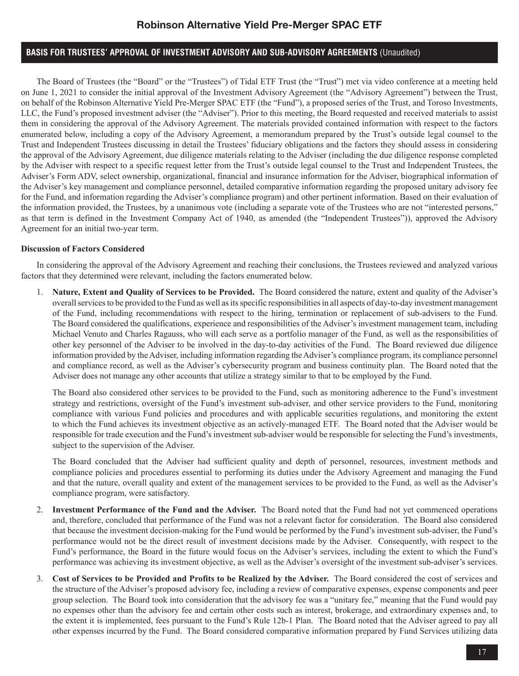## **BASIS FOR TRUSTEES' APPROVAL OF INVESTMENT ADVISORY AND SUB-ADVISORY AGREEMENTS** (Unaudited)

The Board of Trustees (the "Board" or the "Trustees") of Tidal ETF Trust (the "Trust") met via video conference at a meeting held on June 1, 2021 to consider the initial approval of the Investment Advisory Agreement (the "Advisory Agreement") between the Trust, on behalf of the Robinson Alternative Yield Pre-Merger SPAC ETF (the "Fund"), a proposed series of the Trust, and Toroso Investments, LLC, the Fund's proposed investment adviser (the "Adviser"). Prior to this meeting, the Board requested and received materials to assist them in considering the approval of the Advisory Agreement. The materials provided contained information with respect to the factors enumerated below, including a copy of the Advisory Agreement, a memorandum prepared by the Trust's outside legal counsel to the Trust and Independent Trustees discussing in detail the Trustees' fiduciary obligations and the factors they should assess in considering the approval of the Advisory Agreement, due diligence materials relating to the Adviser (including the due diligence response completed by the Adviser with respect to a specific request letter from the Trust's outside legal counsel to the Trust and Independent Trustees, the Adviser's Form ADV, select ownership, organizational, financial and insurance information for the Adviser, biographical information of the Adviser's key management and compliance personnel, detailed comparative information regarding the proposed unitary advisory fee for the Fund, and information regarding the Adviser's compliance program) and other pertinent information. Based on their evaluation of the information provided, the Trustees, by a unanimous vote (including a separate vote of the Trustees who are not "interested persons," as that term is defined in the Investment Company Act of 1940, as amended (the "Independent Trustees")), approved the Advisory Agreement for an initial two-year term.

### **Discussion of Factors Considered**

In considering the approval of the Advisory Agreement and reaching their conclusions, the Trustees reviewed and analyzed various factors that they determined were relevant, including the factors enumerated below.

1. **Nature, Extent and Quality of Services to be Provided.** The Board considered the nature, extent and quality of the Adviser's overall services to be provided to the Fund as well as its specific responsibilities in all aspects of day-to-day investment management of the Fund, including recommendations with respect to the hiring, termination or replacement of sub-advisers to the Fund. The Board considered the qualifications, experience and responsibilities of the Adviser's investment management team, including Michael Venuto and Charles Ragauss, who will each serve as a portfolio manager of the Fund, as well as the responsibilities of other key personnel of the Adviser to be involved in the day-to-day activities of the Fund. The Board reviewed due diligence information provided by the Adviser, including information regarding the Adviser's compliance program, its compliance personnel and compliance record, as well as the Adviser's cybersecurity program and business continuity plan. The Board noted that the Adviser does not manage any other accounts that utilize a strategy similar to that to be employed by the Fund.

The Board also considered other services to be provided to the Fund, such as monitoring adherence to the Fund's investment strategy and restrictions, oversight of the Fund's investment sub-adviser, and other service providers to the Fund, monitoring compliance with various Fund policies and procedures and with applicable securities regulations, and monitoring the extent to which the Fund achieves its investment objective as an actively-managed ETF. The Board noted that the Adviser would be responsible for trade execution and the Fund's investment sub-adviser would be responsible for selecting the Fund's investments, subject to the supervision of the Adviser.

The Board concluded that the Adviser had sufficient quality and depth of personnel, resources, investment methods and compliance policies and procedures essential to performing its duties under the Advisory Agreement and managing the Fund and that the nature, overall quality and extent of the management services to be provided to the Fund, as well as the Adviser's compliance program, were satisfactory.

- 2. **Investment Performance of the Fund and the Adviser.** The Board noted that the Fund had not yet commenced operations and, therefore, concluded that performance of the Fund was not a relevant factor for consideration. The Board also considered that because the investment decision-making for the Fund would be performed by the Fund's investment sub-adviser, the Fund's performance would not be the direct result of investment decisions made by the Adviser. Consequently, with respect to the Fund's performance, the Board in the future would focus on the Adviser's services, including the extent to which the Fund's performance was achieving its investment objective, as well as the Adviser's oversight of the investment sub-adviser's services.
- 3. **Cost of Services to be Provided and Profits to be Realized by the Adviser.** The Board considered the cost of services and the structure of the Adviser's proposed advisory fee, including a review of comparative expenses, expense components and peer group selection. The Board took into consideration that the advisory fee was a "unitary fee," meaning that the Fund would pay no expenses other than the advisory fee and certain other costs such as interest, brokerage, and extraordinary expenses and, to the extent it is implemented, fees pursuant to the Fund's Rule 12b-1 Plan. The Board noted that the Adviser agreed to pay all other expenses incurred by the Fund. The Board considered comparative information prepared by Fund Services utilizing data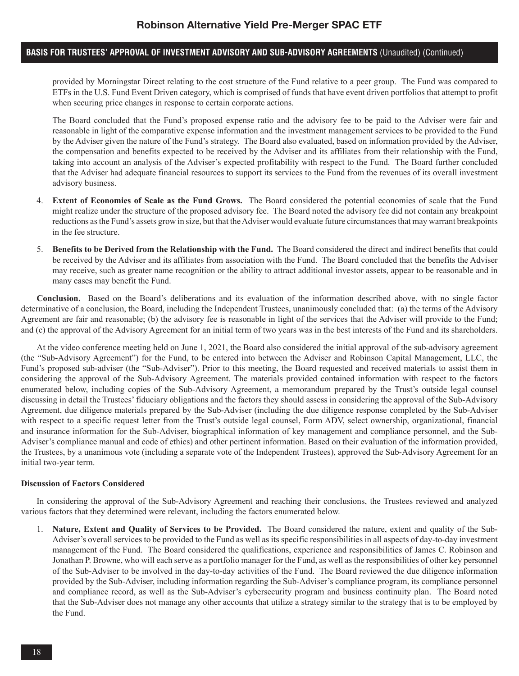## **BASIS FOR TRUSTEES' APPROVAL OF INVESTMENT ADVISORY AND SUB-ADVISORY AGREEMENTS** (Unaudited) (Continued)

provided by Morningstar Direct relating to the cost structure of the Fund relative to a peer group. The Fund was compared to ETFs in the U.S. Fund Event Driven category, which is comprised of funds that have event driven portfolios that attempt to profit when securing price changes in response to certain corporate actions.

The Board concluded that the Fund's proposed expense ratio and the advisory fee to be paid to the Adviser were fair and reasonable in light of the comparative expense information and the investment management services to be provided to the Fund by the Adviser given the nature of the Fund's strategy. The Board also evaluated, based on information provided by the Adviser, the compensation and benefits expected to be received by the Adviser and its affiliates from their relationship with the Fund, taking into account an analysis of the Adviser's expected profitability with respect to the Fund. The Board further concluded that the Adviser had adequate financial resources to support its services to the Fund from the revenues of its overall investment advisory business.

- 4. **Extent of Economies of Scale as the Fund Grows.**The Board considered the potential economies of scale that the Fund might realize under the structure of the proposed advisory fee. The Board noted the advisory fee did not contain any breakpoint reductions as the Fund's assets grow in size, but that the Adviser would evaluate future circumstances that may warrant breakpoints in the fee structure.
- 5. **Benefits to be Derived from the Relationship with the Fund.** The Board considered the direct and indirect benefits that could be received by the Adviser and its affiliates from association with the Fund. The Board concluded that the benefits the Adviser may receive, such as greater name recognition or the ability to attract additional investor assets, appear to be reasonable and in many cases may benefit the Fund.

**Conclusion.** Based on the Board's deliberations and its evaluation of the information described above, with no single factor determinative of a conclusion, the Board, including the Independent Trustees, unanimously concluded that: (a) the terms of the Advisory Agreement are fair and reasonable; (b) the advisory fee is reasonable in light of the services that the Adviser will provide to the Fund; and (c) the approval of the Advisory Agreement for an initial term of two years was in the best interests of the Fund and its shareholders.

At the video conference meeting held on June 1, 2021, the Board also considered the initial approval of the sub-advisory agreement (the "Sub-Advisory Agreement") for the Fund, to be entered into between the Adviser and Robinson Capital Management, LLC, the Fund's proposed sub-adviser (the "Sub-Adviser"). Prior to this meeting, the Board requested and received materials to assist them in considering the approval of the Sub-Advisory Agreement. The materials provided contained information with respect to the factors enumerated below, including copies of the Sub-Advisory Agreement, a memorandum prepared by the Trust's outside legal counsel discussing in detail the Trustees' fiduciary obligations and the factors they should assess in considering the approval of the Sub-Advisory Agreement, due diligence materials prepared by the Sub-Adviser (including the due diligence response completed by the Sub-Adviser with respect to a specific request letter from the Trust's outside legal counsel, Form ADV, select ownership, organizational, financial and insurance information for the Sub-Adviser, biographical information of key management and compliance personnel, and the Sub-Adviser's compliance manual and code of ethics) and other pertinent information. Based on their evaluation of the information provided, the Trustees, by a unanimous vote (including a separate vote of the Independent Trustees), approved the Sub-Advisory Agreement for an initial two-year term.

### **Discussion of Factors Considered**

In considering the approval of the Sub-Advisory Agreement and reaching their conclusions, the Trustees reviewed and analyzed various factors that they determined were relevant, including the factors enumerated below.

1. **Nature, Extent and Quality of Services to be Provided.** The Board considered the nature, extent and quality of the Sub-Adviser's overall services to be provided to the Fund as well as its specific responsibilities in all aspects of day-to-day investment management of the Fund. The Board considered the qualifications, experience and responsibilities of James C. Robinson and Jonathan P. Browne, who will each serve as a portfolio manager for the Fund, as well as the responsibilities of other key personnel of the Sub-Adviser to be involved in the day-to-day activities of the Fund. The Board reviewed the due diligence information provided by the Sub-Adviser, including information regarding the Sub-Adviser's compliance program, its compliance personnel and compliance record, as well as the Sub-Adviser's cybersecurity program and business continuity plan. The Board noted that the Sub-Adviser does not manage any other accounts that utilize a strategy similar to the strategy that is to be employed by the Fund.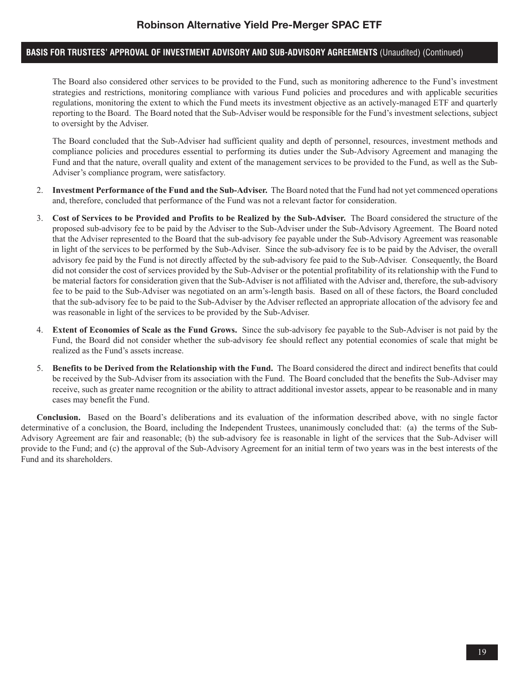## **BASIS FOR TRUSTEES' APPROVAL OF INVESTMENT ADVISORY AND SUB-ADVISORY AGREEMENTS** (Unaudited) (Continued)

The Board also considered other services to be provided to the Fund, such as monitoring adherence to the Fund's investment strategies and restrictions, monitoring compliance with various Fund policies and procedures and with applicable securities regulations, monitoring the extent to which the Fund meets its investment objective as an actively-managed ETF and quarterly reporting to the Board. The Board noted that the Sub-Adviser would be responsible for the Fund's investment selections, subject to oversight by the Adviser.

The Board concluded that the Sub-Adviser had sufficient quality and depth of personnel, resources, investment methods and compliance policies and procedures essential to performing its duties under the Sub-Advisory Agreement and managing the Fund and that the nature, overall quality and extent of the management services to be provided to the Fund, as well as the Sub-Adviser's compliance program, were satisfactory.

- 2. **Investment Performance of the Fund and the Sub-Adviser.** The Board noted that the Fund had not yet commenced operations and, therefore, concluded that performance of the Fund was not a relevant factor for consideration.
- 3. **Cost of Services to be Provided and Profits to be Realized by the Sub-Adviser.** The Board considered the structure of the proposed sub-advisory fee to be paid by the Adviser to the Sub-Adviser under the Sub-Advisory Agreement. The Board noted that the Adviser represented to the Board that the sub-advisory fee payable under the Sub-Advisory Agreement was reasonable in light of the services to be performed by the Sub-Adviser. Since the sub-advisory fee is to be paid by the Adviser, the overall advisory fee paid by the Fund is not directly affected by the sub-advisory fee paid to the Sub-Adviser. Consequently, the Board did not consider the cost of services provided by the Sub-Adviser or the potential profitability of its relationship with the Fund to be material factors for consideration given that the Sub-Adviser is not affiliated with the Adviser and, therefore, the sub-advisory fee to be paid to the Sub-Adviser was negotiated on an arm's-length basis. Based on all of these factors, the Board concluded that the sub-advisory fee to be paid to the Sub-Adviser by the Adviser reflected an appropriate allocation of the advisory fee and was reasonable in light of the services to be provided by the Sub-Adviser.
- 4. **Extent of Economies of Scale as the Fund Grows.**Since the sub-advisory fee payable to the Sub-Adviser is not paid by the Fund, the Board did not consider whether the sub-advisory fee should reflect any potential economies of scale that might be realized as the Fund's assets increase.
- 5. **Benefits to be Derived from the Relationship with the Fund.**The Board considered the direct and indirect benefits that could be received by the Sub-Adviser from its association with the Fund. The Board concluded that the benefits the Sub-Adviser may receive, such as greater name recognition or the ability to attract additional investor assets, appear to be reasonable and in many cases may benefit the Fund.

**Conclusion.**Based on the Board's deliberations and its evaluation of the information described above, with no single factor determinative of a conclusion, the Board, including the Independent Trustees, unanimously concluded that: (a) the terms of the Sub-Advisory Agreement are fair and reasonable; (b) the sub-advisory fee is reasonable in light of the services that the Sub-Adviser will provide to the Fund; and (c) the approval of the Sub-Advisory Agreement for an initial term of two years was in the best interests of the Fund and its shareholders.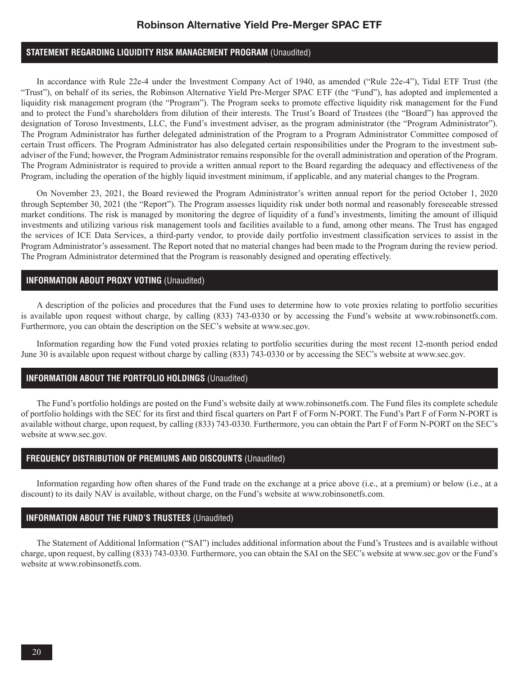## **STATEMENT REGARDING LIQUIDITY RISK MANAGEMENT PROGRAM** (Unaudited)

In accordance with Rule 22e-4 under the Investment Company Act of 1940, as amended ("Rule 22e-4"), Tidal ETF Trust (the "Trust"), on behalf of its series, the Robinson Alternative Yield Pre-Merger SPAC ETF (the "Fund"), has adopted and implemented a liquidity risk management program (the "Program"). The Program seeks to promote effective liquidity risk management for the Fund and to protect the Fund's shareholders from dilution of their interests. The Trust's Board of Trustees (the "Board") has approved the designation of Toroso Investments, LLC, the Fund's investment adviser, as the program administrator (the "Program Administrator"). The Program Administrator has further delegated administration of the Program to a Program Administrator Committee composed of certain Trust officers. The Program Administrator has also delegated certain responsibilities under the Program to the investment subadviser of the Fund; however, the Program Administrator remains responsible for the overall administration and operation of the Program. The Program Administrator is required to provide a written annual report to the Board regarding the adequacy and effectiveness of the Program, including the operation of the highly liquid investment minimum, if applicable, and any material changes to the Program.

On November 23, 2021, the Board reviewed the Program Administrator's written annual report for the period October 1, 2020 through September 30, 2021 (the "Report"). The Program assesses liquidity risk under both normal and reasonably foreseeable stressed market conditions. The risk is managed by monitoring the degree of liquidity of a fund's investments, limiting the amount of illiquid investments and utilizing various risk management tools and facilities available to a fund, among other means. The Trust has engaged the services of ICE Data Services, a third-party vendor, to provide daily portfolio investment classification services to assist in the Program Administrator's assessment. The Report noted that no material changes had been made to the Program during the review period. The Program Administrator determined that the Program is reasonably designed and operating effectively.

#### **INFORMATION ABOUT PROXY VOTING** (Unaudited)

A description of the policies and procedures that the Fund uses to determine how to vote proxies relating to portfolio securities is available upon request without charge, by calling (833) 743-0330 or by accessing the Fund's website at www.robinsonetfs.com. Furthermore, you can obtain the description on the SEC's website at www.sec.gov.

Information regarding how the Fund voted proxies relating to portfolio securities during the most recent 12-month period ended June 30 is available upon request without charge by calling (833) 743-0330 or by accessing the SEC's website at www.sec.gov.

### **INFORMATION ABOUT THE PORTFOLIO HOLDINGS** (Unaudited)

The Fund's portfolio holdings are posted on the Fund's website daily at www.robinsonetfs.com. The Fund files its complete schedule of portfolio holdings with the SEC for its first and third fiscal quarters on Part F of Form N-PORT. The Fund's Part F of Form N-PORT is available without charge, upon request, by calling (833) 743-0330. Furthermore, you can obtain the Part F of Form N-PORT on the SEC's website at www.sec.gov.

### **FREQUENCY DISTRIBUTION OF PREMIUMS AND DISCOUNTS** (Unaudited)

Information regarding how often shares of the Fund trade on the exchange at a price above (i.e., at a premium) or below (i.e., at a discount) to its daily NAV is available, without charge, on the Fund's website at www.robinsonetfs.com.

### **INFORMATION ABOUT THE FUND'S TRUSTEES** (Unaudited)

The Statement of Additional Information ("SAI") includes additional information about the Fund's Trustees and is available without charge, upon request, by calling (833) 743-0330. Furthermore, you can obtain the SAI on the SEC's website at www.sec.gov or the Fund's website at www.robinsonetfs.com.